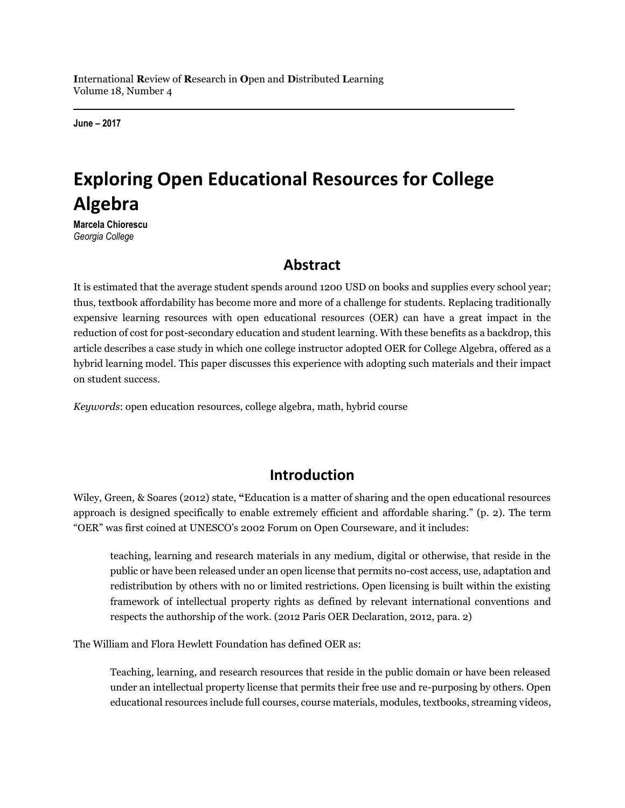**I**nternational **R**eview of **R**esearch in **O**pen and **D**istributed **L**earning Volume 18, Number 4

**June – 2017**

# **Exploring Open Educational Resources for College Algebra**

**Marcela Chiorescu** *Georgia College*

### **Abstract**

It is estimated that the average student spends around 1200 USD on books and supplies every school year; thus, textbook affordability has become more and more of a challenge for students. Replacing traditionally expensive learning resources with open educational resources (OER) can have a great impact in the reduction of cost for post-secondary education and student learning. With these benefits as a backdrop, this article describes a case study in which one college instructor adopted OER for College Algebra, offered as a hybrid learning model. This paper discusses this experience with adopting such materials and their impact on student success.

*Keywords*: open education resources, college algebra, math, hybrid course

## **Introduction**

Wiley, Green, & Soares (2012) state, **"**Education is a matter of sharing and the open educational resources approach is designed specifically to enable extremely efficient and affordable sharing." (p. 2). The term "OER" was first coined at UNESCO's 2002 Forum on Open Courseware, and it includes:

teaching, learning and research materials in any medium, digital or otherwise, that reside in the public or have been released under an open license that permits no-cost access, use, adaptation and redistribution by others with no or limited restrictions. Open licensing is built within the existing framework of intellectual property rights as defined by relevant international conventions and respects the authorship of the work. (2012 Paris OER Declaration, 2012, para. 2)

The William and Flora Hewlett Foundation has defined OER as:

Teaching, learning, and research resources that reside in the public domain or have been released under an intellectual property license that permits their free use and re-purposing by others. Open educational resources include full courses, course materials, modules, textbooks, streaming videos,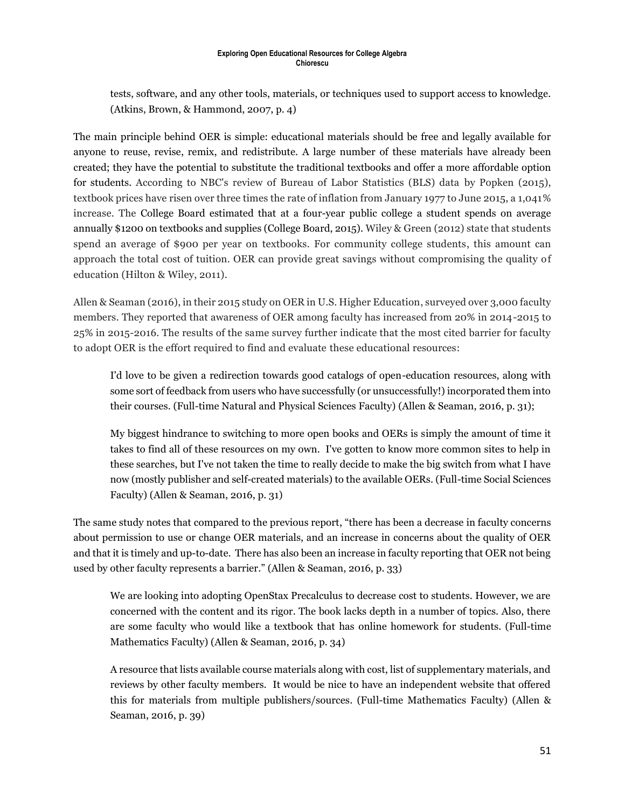tests, software, and any other tools, materials, or techniques used to support access to knowledge. (Atkins, Brown, & Hammond, 2007, p. 4)

The main principle behind OER is simple: educational materials should be free and legally available for anyone to reuse, revise, remix, and redistribute. A large number of these materials have already been created; they have the potential to substitute the traditional textbooks and offer a more affordable option for students. According to NBC's review of Bureau of Labor Statistics (BLS) data by Popken (2015), textbook prices have risen over three times the rate of inflation from January 1977 to June 2015, a 1,041% increase. The College Board estimated that at a four-year public college a student spends on average annually \$1200 on textbooks and supplies (College Board, 2015). Wiley & Green (2012) state that students spend an average of \$900 per year on textbooks. For community college students, this amount can approach the total cost of tuition. OER can provide great savings without compromising the quality of education (Hilton & Wiley, 2011).

Allen & Seaman (2016), in their 2015 study on OER in U.S. Higher Education, surveyed over 3,000 faculty members. They reported that awareness of OER among faculty has increased from 20% in 2014-2015 to 25% in 2015-2016. The results of the same survey further indicate that the most cited barrier for faculty to adopt OER is the effort required to find and evaluate these educational resources:

I'd love to be given a redirection towards good catalogs of open-education resources, along with some sort of feedback from users who have successfully (or unsuccessfully!) incorporated them into their courses. (Full-time Natural and Physical Sciences Faculty) (Allen & Seaman, 2016, p. 31);

My biggest hindrance to switching to more open books and OERs is simply the amount of time it takes to find all of these resources on my own. I've gotten to know more common sites to help in these searches, but I've not taken the time to really decide to make the big switch from what I have now (mostly publisher and self-created materials) to the available OERs. (Full-time Social Sciences Faculty) (Allen & Seaman, 2016, p. 31)

The same study notes that compared to the previous report, "there has been a decrease in faculty concerns about permission to use or change OER materials, and an increase in concerns about the quality of OER and that it is timely and up-to-date. There has also been an increase in faculty reporting that OER not being used by other faculty represents a barrier." (Allen & Seaman, 2016, p. 33)

We are looking into adopting OpenStax Precalculus to decrease cost to students. However, we are concerned with the content and its rigor. The book lacks depth in a number of topics. Also, there are some faculty who would like a textbook that has online homework for students. (Full-time Mathematics Faculty) (Allen & Seaman, 2016, p. 34)

A resource that lists available course materials along with cost, list of supplementary materials, and reviews by other faculty members. It would be nice to have an independent website that offered this for materials from multiple publishers/sources. (Full-time Mathematics Faculty) (Allen & Seaman, 2016, p. 39)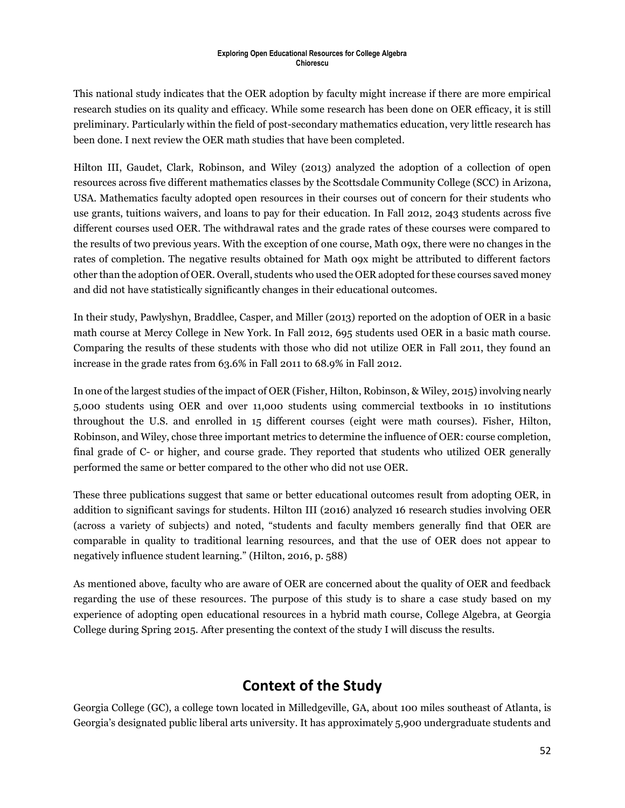This national study indicates that the OER adoption by faculty might increase if there are more empirical research studies on its quality and efficacy. While some research has been done on OER efficacy, it is still preliminary. Particularly within the field of post-secondary mathematics education, very little research has been done. I next review the OER math studies that have been completed.

Hilton III, Gaudet, Clark, Robinson, and Wiley (2013) analyzed the adoption of a collection of open resources across five different mathematics classes by the Scottsdale Community College (SCC) in Arizona, USA. Mathematics faculty adopted open resources in their courses out of concern for their students who use grants, tuitions waivers, and loans to pay for their education. In Fall 2012, 2043 students across five different courses used OER. The withdrawal rates and the grade rates of these courses were compared to the results of two previous years. With the exception of one course, Math 09x, there were no changes in the rates of completion. The negative results obtained for Math 09x might be attributed to different factors other than the adoption of OER. Overall, students who used the OER adopted for these courses saved money and did not have statistically significantly changes in their educational outcomes.

In their study, Pawlyshyn, Braddlee, Casper, and Miller (2013) reported on the adoption of OER in a basic math course at Mercy College in New York. In Fall 2012, 695 students used OER in a basic math course. Comparing the results of these students with those who did not utilize OER in Fall 2011, they found an increase in the grade rates from 63.6% in Fall 2011 to 68.9% in Fall 2012.

In one of the largest studies of the impact of OER (Fisher, Hilton, Robinson, & Wiley, 2015) involving nearly 5,000 students using OER and over 11,000 students using commercial textbooks in 10 institutions throughout the U.S. and enrolled in 15 different courses (eight were math courses). Fisher, Hilton, Robinson, and Wiley, chose three important metrics to determine the influence of OER: course completion, final grade of C- or higher, and course grade. They reported that students who utilized OER generally performed the same or better compared to the other who did not use OER.

These three publications suggest that same or better educational outcomes result from adopting OER, in addition to significant savings for students. Hilton III (2016) analyzed 16 research studies involving OER (across a variety of subjects) and noted, "students and faculty members generally find that OER are comparable in quality to traditional learning resources, and that the use of OER does not appear to negatively influence student learning." (Hilton, 2016, p. 588)

As mentioned above, faculty who are aware of OER are concerned about the quality of OER and feedback regarding the use of these resources. The purpose of this study is to share a case study based on my experience of adopting open educational resources in a hybrid math course, College Algebra, at Georgia College during Spring 2015. After presenting the context of the study I will discuss the results.

## **Context of the Study**

Georgia College (GC), a college town located in Milledgeville, GA, about 100 miles southeast of Atlanta, is Georgia's designated public liberal arts university. It has approximately 5,900 undergraduate students and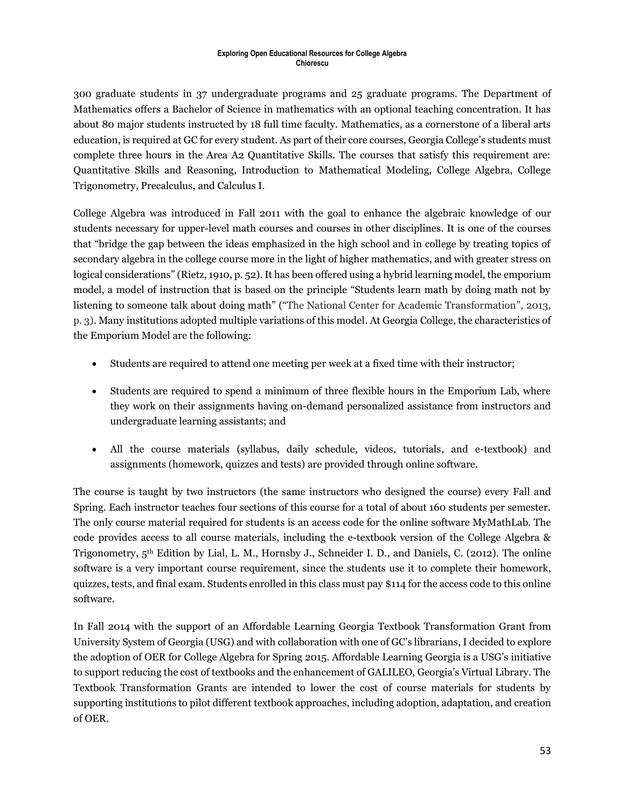300 graduate students in 37 undergraduate programs and 25 graduate programs. The Department of Mathematics offers a Bachelor of Science in mathematics with an optional teaching concentration. It has about 80 major students instructed by 18 full time faculty. Mathematics, as a cornerstone of a liberal arts education, is required at GC for every student. As part of their core courses, Georgia College's students must complete three hours in the Area A2 Quantitative Skills. The courses that satisfy this requirement are: Quantitative Skills and Reasoning, Introduction to Mathematical Modeling, College Algebra, College Trigonometry, Precalculus, and Calculus I.

College Algebra was introduced in Fall 2011 with the goal to enhance the algebraic knowledge of our students necessary for upper-level math courses and courses in other disciplines. It is one of the courses that "bridge the gap between the ideas emphasized in the high school and in college by treating topics of secondary algebra in the college course more in the light of higher mathematics, and with greater stress on logical considerations" (Rietz, 1910, p. 52). It has been offered using a hybrid learning model, the emporium model, a model of instruction that is based on the principle "Students learn math by doing math not by listening to someone talk about doing math" ("The National Center for Academic Transformation", 2013, p. 3). Many institutions adopted multiple variations of this model. At Georgia College, the characteristics of the Emporium Model are the following:

- Students are required to attend one meeting per week at a fixed time with their instructor;
- Students are required to spend a minimum of three flexible hours in the Emporium Lab, where they work on their assignments having on-demand personalized assistance from instructors and undergraduate learning assistants; and
- All the course materials (syllabus, daily schedule, videos, tutorials, and e-textbook) and assignments (homework, quizzes and tests) are provided through online software.

The course is taught by two instructors (the same instructors who designed the course) every Fall and Spring. Each instructor teaches four sections of this course for a total of about 160 students per semester. The only course material required for students is an access code for the online software MyMathLab. The code provides access to all course materials, including the e-textbook version of the College Algebra & Trigonometry, 5th Edition by Lial, L. M., Hornsby J., Schneider I. D., and Daniels, C. (2012). The online software is a very important course requirement, since the students use it to complete their homework, quizzes, tests, and final exam. Students enrolled in this class must pay \$114 for the access code to this online software.

In Fall 2014 with the support of an Affordable Learning Georgia Textbook Transformation Grant from University System of Georgia (USG) and with collaboration with one of GC's librarians, I decided to explore the adoption of OER for College Algebra for Spring 2015. Affordable Learning Georgia is a USG's initiative to support reducing the cost of textbooks and the enhancement of GALILEO, Georgia's Virtual Library. The Textbook Transformation Grants are intended to lower the cost of course materials for students by supporting institutions to pilot different textbook approaches, including adoption, adaptation, and creation of OER.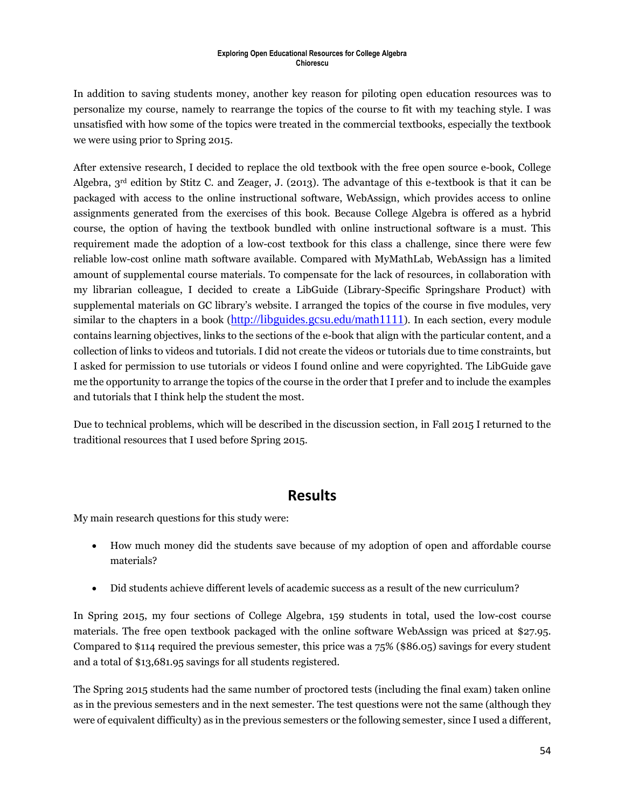In addition to saving students money, another key reason for piloting open education resources was to personalize my course, namely to rearrange the topics of the course to fit with my teaching style. I was unsatisfied with how some of the topics were treated in the commercial textbooks, especially the textbook we were using prior to Spring 2015.

After extensive research, I decided to replace the old textbook with the free open source e-book, College Algebra,  $3^{rd}$  edition by Stitz C. and Zeager, J. (2013). The advantage of this e-textbook is that it can be packaged with access to the online instructional software, WebAssign, which provides access to online assignments generated from the exercises of this book. Because College Algebra is offered as a hybrid course, the option of having the textbook bundled with online instructional software is a must. This requirement made the adoption of a low-cost textbook for this class a challenge, since there were few reliable low-cost online math software available. Compared with MyMathLab, WebAssign has a limited amount of supplemental course materials. To compensate for the lack of resources, in collaboration with my librarian colleague, I decided to create a LibGuide (Library-Specific Springshare Product) with supplemental materials on GC library's website. I arranged the topics of the course in five modules, very similar to the chapters in a book (<http://libguides.gcsu.edu/math1111>). In each section, every module contains learning objectives, links to the sections of the e-book that align with the particular content, and a collection of links to videos and tutorials. I did not create the videos or tutorials due to time constraints, but I asked for permission to use tutorials or videos I found online and were copyrighted. The LibGuide gave me the opportunity to arrange the topics of the course in the order that I prefer and to include the examples and tutorials that I think help the student the most.

Due to technical problems, which will be described in the discussion section, in Fall 2015 I returned to the traditional resources that I used before Spring 2015.

## **Results**

My main research questions for this study were:

- How much money did the students save because of my adoption of open and affordable course materials?
- Did students achieve different levels of academic success as a result of the new curriculum?

In Spring 2015, my four sections of College Algebra, 159 students in total, used the low-cost course materials. The free open textbook packaged with the online software WebAssign was priced at \$27.95. Compared to \$114 required the previous semester, this price was a 75% (\$86.05) savings for every student and a total of \$13,681.95 savings for all students registered.

The Spring 2015 students had the same number of proctored tests (including the final exam) taken online as in the previous semesters and in the next semester. The test questions were not the same (although they were of equivalent difficulty) as in the previous semesters or the following semester, since I used a different,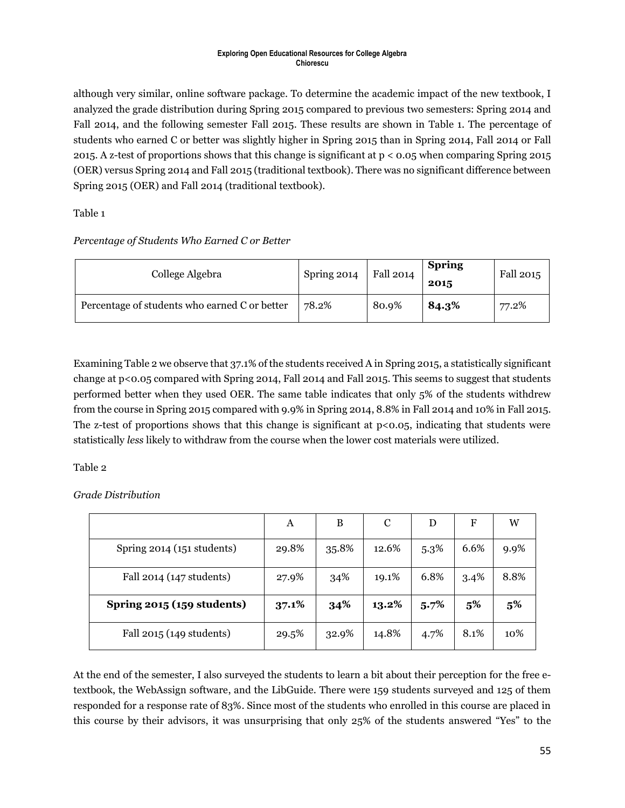although very similar, online software package. To determine the academic impact of the new textbook, I analyzed the grade distribution during Spring 2015 compared to previous two semesters: Spring 2014 and Fall 2014, and the following semester Fall 2015. These results are shown in Table 1. The percentage of students who earned C or better was slightly higher in Spring 2015 than in Spring 2014, Fall 2014 or Fall 2015. A z-test of proportions shows that this change is significant at p < 0.05 when comparing Spring 2015 (OER) versus Spring 2014 and Fall 2015 (traditional textbook). There was no significant difference between Spring 2015 (OER) and Fall 2014 (traditional textbook).

Table 1

### *Percentage of Students Who Earned C or Better*

| College Algebra                               | Spring 2014 | Fall 2014 | <b>Spring</b><br>2015 | Fall 2015 |
|-----------------------------------------------|-------------|-----------|-----------------------|-----------|
| Percentage of students who earned C or better | 78.2%       | 80.9%     | 84.3%                 | 77.2%     |

Examining Table 2 we observe that 37.1% of the students received A in Spring 2015, a statistically significant change at p<0.05 compared with Spring 2014, Fall 2014 and Fall 2015. This seems to suggest that students performed better when they used OER. The same table indicates that only 5% of the students withdrew from the course in Spring 2015 compared with 9.9% in Spring 2014, 8.8% in Fall 2014 and 10% in Fall 2015. The z-test of proportions shows that this change is significant at p<0.05, indicating that students were statistically *less* likely to withdraw from the course when the lower cost materials were utilized.

Table 2

*Grade Distribution*

|                            | A     | B     | C     | D    | F    | W    |
|----------------------------|-------|-------|-------|------|------|------|
| Spring 2014 (151 students) | 29.8% | 35.8% | 12.6% | 5.3% | 6.6% | 9.9% |
| Fall 2014 (147 students)   | 27.9% | 34%   | 19.1% | 6.8% | 3.4% | 8.8% |
| Spring 2015 (159 students) | 37.1% | 34%   | 13.2% | 5.7% | 5%   | 5%   |
| Fall 2015 (149 students)   | 29.5% | 32.9% | 14.8% | 4.7% | 8.1% | 10%  |

At the end of the semester, I also surveyed the students to learn a bit about their perception for the free etextbook, the WebAssign software, and the LibGuide. There were 159 students surveyed and 125 of them responded for a response rate of 83%. Since most of the students who enrolled in this course are placed in this course by their advisors, it was unsurprising that only 25% of the students answered "Yes" to the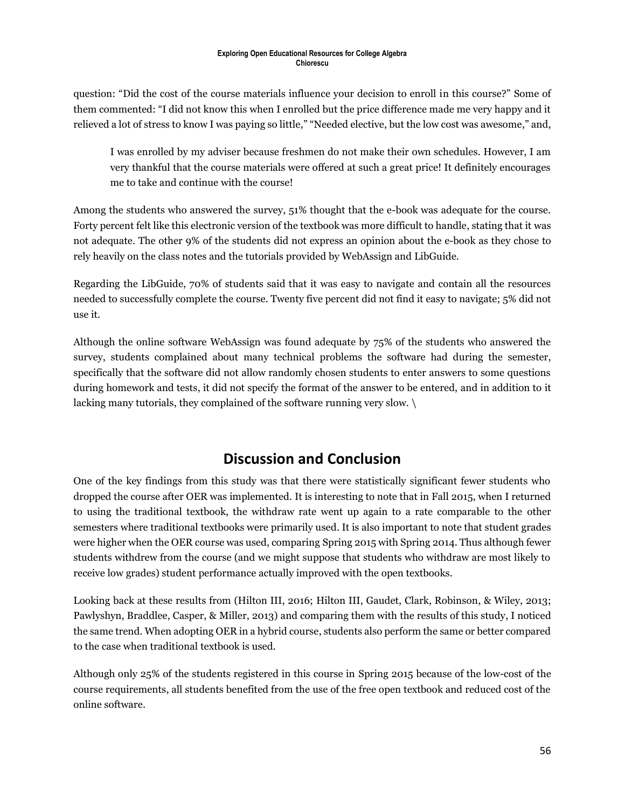question: "Did the cost of the course materials influence your decision to enroll in this course?" Some of them commented: "I did not know this when I enrolled but the price difference made me very happy and it relieved a lot of stress to know I was paying so little," "Needed elective, but the low cost was awesome," and,

I was enrolled by my adviser because freshmen do not make their own schedules. However, I am very thankful that the course materials were offered at such a great price! It definitely encourages me to take and continue with the course!

Among the students who answered the survey, 51% thought that the e-book was adequate for the course. Forty percent felt like this electronic version of the textbook was more difficult to handle, stating that it was not adequate. The other 9% of the students did not express an opinion about the e-book as they chose to rely heavily on the class notes and the tutorials provided by WebAssign and LibGuide.

Regarding the LibGuide, 70% of students said that it was easy to navigate and contain all the resources needed to successfully complete the course. Twenty five percent did not find it easy to navigate; 5% did not use it.

Although the online software WebAssign was found adequate by 75% of the students who answered the survey, students complained about many technical problems the software had during the semester, specifically that the software did not allow randomly chosen students to enter answers to some questions during homework and tests, it did not specify the format of the answer to be entered, and in addition to it lacking many tutorials, they complained of the software running very slow. \

## **Discussion and Conclusion**

One of the key findings from this study was that there were statistically significant fewer students who dropped the course after OER was implemented. It is interesting to note that in Fall 2015, when I returned to using the traditional textbook, the withdraw rate went up again to a rate comparable to the other semesters where traditional textbooks were primarily used. It is also important to note that student grades were higher when the OER course was used, comparing Spring 2015 with Spring 2014. Thus although fewer students withdrew from the course (and we might suppose that students who withdraw are most likely to receive low grades) student performance actually improved with the open textbooks.

Looking back at these results from (Hilton III, 2016; Hilton III, Gaudet, Clark, Robinson, & Wiley, 2013; Pawlyshyn, Braddlee, Casper, & Miller, 2013) and comparing them with the results of this study, I noticed the same trend. When adopting OER in a hybrid course, students also perform the same or better compared to the case when traditional textbook is used.

Although only 25% of the students registered in this course in Spring 2015 because of the low-cost of the course requirements, all students benefited from the use of the free open textbook and reduced cost of the online software.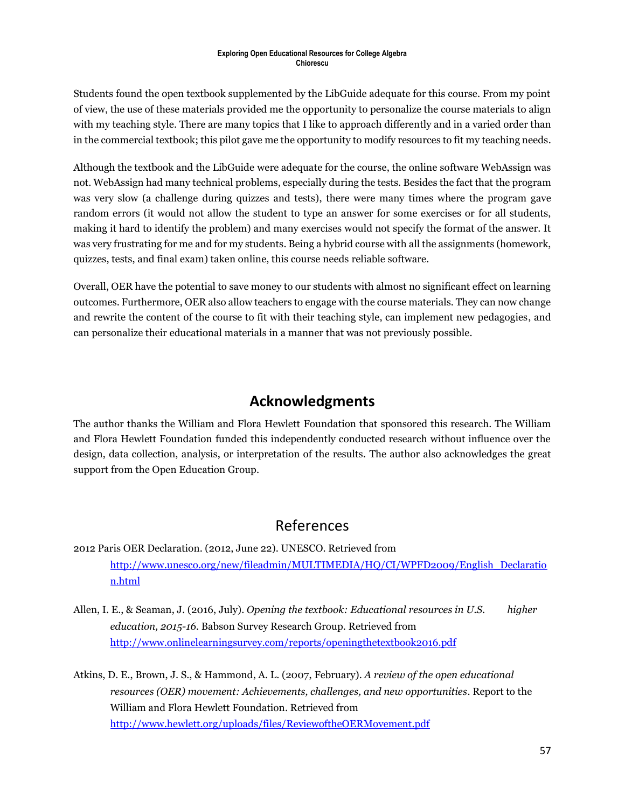Students found the open textbook supplemented by the LibGuide adequate for this course. From my point of view, the use of these materials provided me the opportunity to personalize the course materials to align with my teaching style. There are many topics that I like to approach differently and in a varied order than in the commercial textbook; this pilot gave me the opportunity to modify resources to fit my teaching needs.

Although the textbook and the LibGuide were adequate for the course, the online software WebAssign was not. WebAssign had many technical problems, especially during the tests. Besides the fact that the program was very slow (a challenge during quizzes and tests), there were many times where the program gave random errors (it would not allow the student to type an answer for some exercises or for all students, making it hard to identify the problem) and many exercises would not specify the format of the answer. It was very frustrating for me and for my students. Being a hybrid course with all the assignments (homework, quizzes, tests, and final exam) taken online, this course needs reliable software.

Overall, OER have the potential to save money to our students with almost no significant effect on learning outcomes. Furthermore, OER also allow teachers to engage with the course materials. They can now change and rewrite the content of the course to fit with their teaching style, can implement new pedagogies, and can personalize their educational materials in a manner that was not previously possible.

## **Acknowledgments**

The author thanks the William and Flora Hewlett Foundation that sponsored this research. The William and Flora Hewlett Foundation funded this independently conducted research without influence over the design, data collection, analysis, or interpretation of the results. The author also acknowledges the great support from the Open Education Group.

## References

- 2012 Paris OER Declaration. (2012, June 22). UNESCO. Retrieved from [http://www.unesco.org/new/fileadmin/MULTIMEDIA/HQ/CI/WPFD2009/English\\_Declaratio](http://www.unesco.org/new/fileadmin/MULTIMEDIA/HQ/CI/WPFD2009/English_Declaration.html) [n.html](http://www.unesco.org/new/fileadmin/MULTIMEDIA/HQ/CI/WPFD2009/English_Declaration.html)
- Allen, I. E., & Seaman, J. (2016, July). *Opening the textbook: Educational resources in U.S. higher education, 2015-16.* Babson Survey Research Group. Retrieved from <http://www.onlinelearningsurvey.com/reports/openingthetextbook2016.pdf>
- Atkins, D. E., Brown, J. S., & Hammond, A. L. (2007, February). *A review of the open educational resources (OER) movement: Achievements, challenges, and new opportunities*. Report to the William and Flora Hewlett Foundation. Retrieved from <http://www.hewlett.org/uploads/files/ReviewoftheOERMovement.pdf>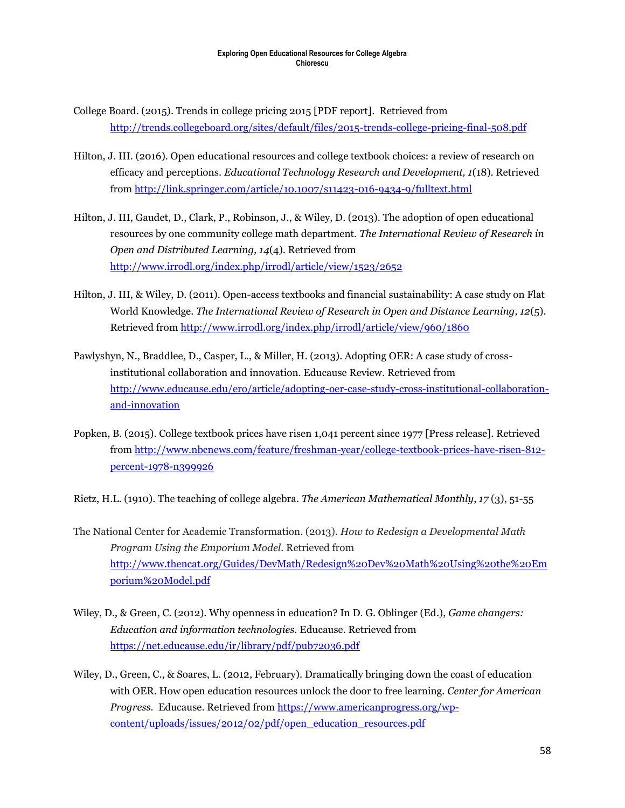College Board. (2015). Trends in college pricing 2015 [PDF report]. Retrieved from <http://trends.collegeboard.org/sites/default/files/2015-trends-college-pricing-final-508.pdf>

- Hilton, J. III. (2016). Open educational resources and college textbook choices: a review of research on efficacy and perceptions. *Educational Technology Research and Development, 1*(18). Retrieved from<http://link.springer.com/article/10.1007/s11423-016-9434-9/fulltext.html>
- Hilton, J. III, Gaudet, D., Clark, P., Robinson, J., & Wiley, D. (2013). The adoption of open educational resources by one community college math department. *The International Review of Research in Open and Distributed Learning, 14*(4). Retrieved from <http://www.irrodl.org/index.php/irrodl/article/view/1523/2652>
- Hilton, J. III, & Wiley, D. (2011). Open-access textbooks and financial sustainability: A case study on Flat World Knowledge. *The International Review of Research in Open and Distance Learning, 12*(5). Retrieved from<http://www.irrodl.org/index.php/irrodl/article/view/960/1860>
- Pawlyshyn, N., Braddlee, D., Casper, L., & Miller, H. (2013). Adopting OER: A case study of crossinstitutional collaboration and innovation. Educause Review. Retrieved from [http://www.educause.edu/ero/article/adopting-oer-case-study-cross-institutional-collaboration](http://www.educause.edu/ero/article/adopting-oer-case-study-cross-institutional-collaboration-and-innovation)[and-innovation](http://www.educause.edu/ero/article/adopting-oer-case-study-cross-institutional-collaboration-and-innovation)
- Popken, B. (2015). College textbook prices have risen 1,041 percent since 1977 [Press release]. Retrieved from [http://www.nbcnews.com/feature/freshman-year/college-textbook-prices-have-risen-812](http://www.nbcnews.com/feature/freshman-year/college-textbook-prices-have-risen-812-percent-1978-n399926) [percent-1978-n399926](http://www.nbcnews.com/feature/freshman-year/college-textbook-prices-have-risen-812-percent-1978-n399926)

Rietz, H.L. (1910). The teaching of college algebra. *The American Mathematical Monthly*, *17* (3), 51-55

- The National Center for Academic Transformation. (2013). *How to Redesign a Developmental Math Program Using the Emporium Model.* Retrieved from [http://www.thencat.org/Guides/DevMath/Redesign%20Dev%20Math%20Using%20the%20Em](http://www.thencat.org/Guides/DevMath/Redesign%20Dev%20Math%20Using%20the%20Emporium%20Model.pdf) [porium%20Model.pdf](http://www.thencat.org/Guides/DevMath/Redesign%20Dev%20Math%20Using%20the%20Emporium%20Model.pdf)
- Wiley, D., & Green, C. (2012). Why openness in education? In D. G. Oblinger (Ed.), *Game changers: Education and information technologies.* Educause. Retrieved from <https://net.educause.edu/ir/library/pdf/pub72036.pdf>
- Wiley, D., Green, C., & Soares, L. (2012, February). Dramatically bringing down the coast of education with OER. How open education resources unlock the door to free learning. *Center for American Progress.* Educause. Retrieved from [https://www.americanprogress.org/wp](https://www.americanprogress.org/wp-content/uploads/issues/2012/02/pdf/open_education_resources.pdf)[content/uploads/issues/2012/02/pdf/open\\_education\\_resources.pdf](https://www.americanprogress.org/wp-content/uploads/issues/2012/02/pdf/open_education_resources.pdf)